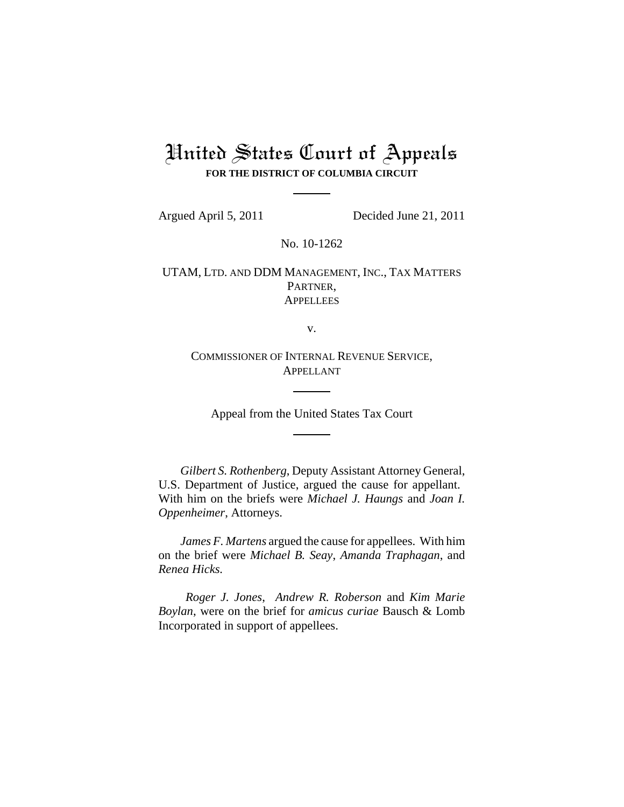## United States Court of Appeals **FOR THE DISTRICT OF COLUMBIA CIRCUIT**

Argued April 5, 2011 Decided June 21, 2011

No. 10-1262

UTAM, LTD. AND DDM MANAGEMENT, INC., TAX MATTERS PARTNER, **APPELLEES** 

v.

COMMISSIONER OF INTERNAL REVENUE SERVICE, APPELLANT

Appeal from the United States Tax Court

*Gilbert S. Rothenberg*, Deputy Assistant Attorney General, U.S. Department of Justice, argued the cause for appellant. With him on the briefs were *Michael J. Haungs* and *Joan I. Oppenheimer*, Attorneys.

*James F. Martens* argued the cause for appellees. With him on the brief were *Michael B. Seay*, *Amanda Traphagan*, and *Renea Hicks.* 

*Roger J. Jones*, *Andrew R. Roberson* and *Kim Marie Boylan*, were on the brief for *amicus curiae* Bausch & Lomb Incorporated in support of appellees.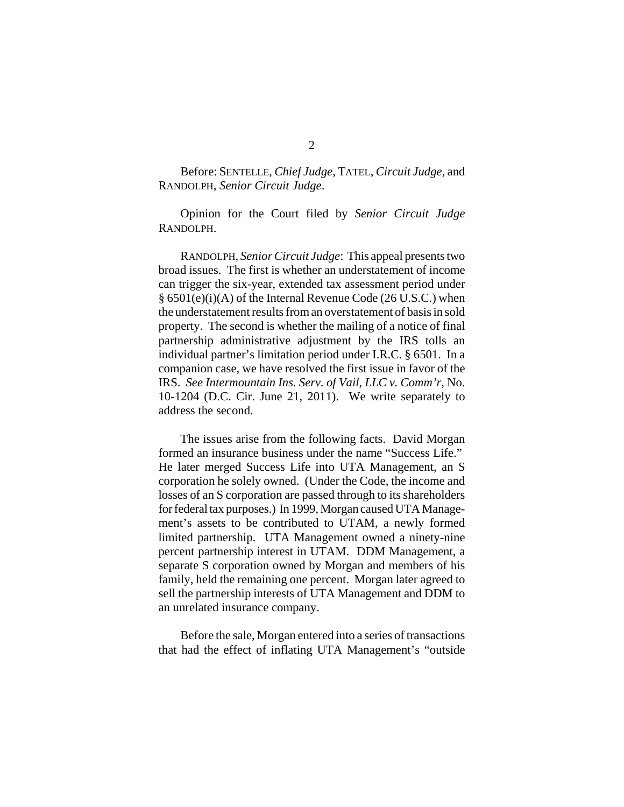Before: SENTELLE, *Chief Judge*, TATEL, *Circuit Judge*, and RANDOLPH, *Senior Circuit Judge*.

Opinion for the Court filed by *Senior Circuit Judge* RANDOLPH.

RANDOLPH, *Senior Circuit Judge*: This appeal presents two broad issues. The first is whether an understatement of income can trigger the six-year, extended tax assessment period under § 6501(e)(i)(A) of the Internal Revenue Code (26 U.S.C.) when the understatement results from an overstatement of basis in sold property. The second is whether the mailing of a notice of final partnership administrative adjustment by the IRS tolls an individual partner's limitation period under I.R.C. § 6501. In a companion case, we have resolved the first issue in favor of the IRS. *See Intermountain Ins. Serv. of Vail, LLC v. Comm'r*, No. 10-1204 (D.C. Cir. June 21, 2011). We write separately to address the second.

The issues arise from the following facts.David Morgan formed an insurance business under the name "Success Life." He later merged Success Life into UTA Management, an S corporation he solely owned. (Under the Code, the income and losses of an S corporation are passed through to its shareholders for federal tax purposes.) In 1999, Morgan caused UTA Management's assets to be contributed to UTAM, a newly formed limited partnership. UTA Management owned a ninety-nine percent partnership interest in UTAM. DDM Management, a separate S corporation owned by Morgan and members of his family, held the remaining one percent.Morgan later agreed to sell the partnership interests of UTA Management and DDM to an unrelated insurance company.

Before the sale, Morgan entered into a series of transactions that had the effect of inflating UTA Management's "outside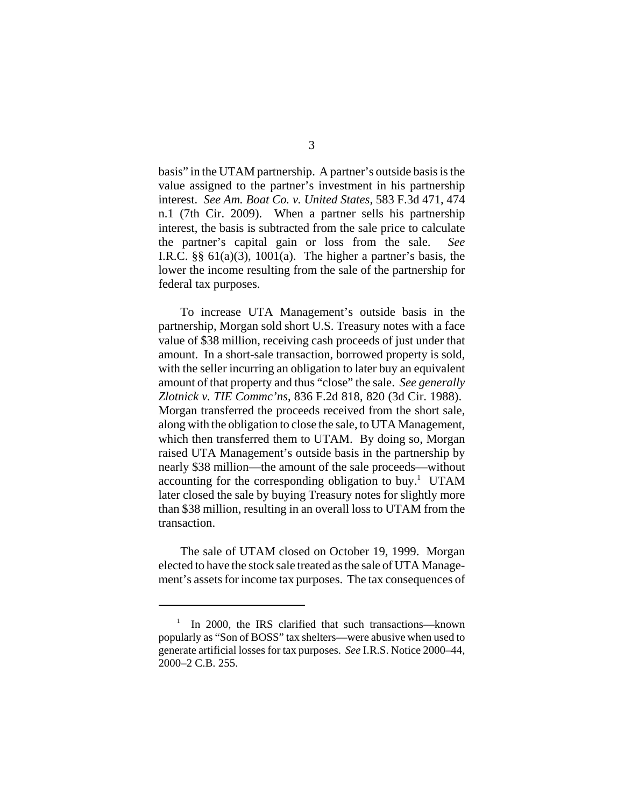basis" in the UTAM partnership. A partner's outside basis is the value assigned to the partner's investment in his partnership interest. *See Am. Boat Co. v. United States*, 583 F.3d 471, 474 n.1 (7th Cir. 2009). When a partner sells his partnership interest, the basis is subtracted from the sale price to calculate the partner's capital gain or loss from the sale. *See* I.R.C.  $\S\S 61(a)(3)$ , 1001(a). The higher a partner's basis, the lower the income resulting from the sale of the partnership for federal tax purposes.

To increase UTA Management's outside basis in the partnership, Morgan sold short U.S. Treasury notes with a face value of \$38 million, receiving cash proceeds of just under that amount. In a short-sale transaction, borrowed property is sold, with the seller incurring an obligation to later buy an equivalent amount of that property and thus "close" the sale. *See generally Zlotnick v. TIE Commc'ns*, 836 F.2d 818, 820 (3d Cir. 1988). Morgan transferred the proceeds received from the short sale, along with the obligation to close the sale, to UTA Management, which then transferred them to UTAM. By doing so, Morgan raised UTA Management's outside basis in the partnership by nearly \$38 million—the amount of the sale proceeds—without accounting for the corresponding obligation to buy.<sup>1</sup> UTAM later closed the sale by buying Treasury notes for slightly more than \$38 million, resulting in an overall loss to UTAM from the transaction.

The sale of UTAM closed on October 19, 1999. Morgan elected to have the stock sale treated as the sale of UTA Management's assets for income tax purposes. The tax consequences of

<sup>&</sup>lt;sup>1</sup> In 2000, the IRS clarified that such transactions—known popularly as "Son of BOSS" tax shelters—were abusive when used to generate artificial losses for tax purposes. *See* I.R.S. Notice 2000–44, 2000–2 C.B. 255.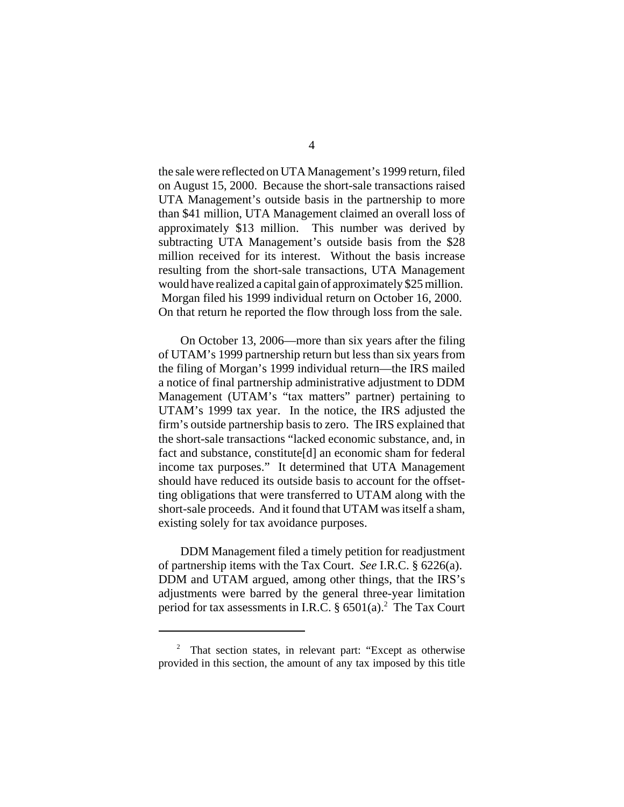the sale were reflected on UTA Management's 1999 return, filed on August 15, 2000. Because the short-sale transactions raised UTA Management's outside basis in the partnership to more than \$41 million, UTA Management claimed an overall loss of approximately \$13 million. This number was derived by subtracting UTA Management's outside basis from the \$28 million received for its interest. Without the basis increase resulting from the short-sale transactions, UTA Management would have realized a capital gain of approximately \$25 million. Morgan filed his 1999 individual return on October 16, 2000. On that return he reported the flow through loss from the sale.

On October 13, 2006—more than six years after the filing of UTAM's 1999 partnership return but less than six years from the filing of Morgan's 1999 individual return—the IRS mailed a notice of final partnership administrative adjustment to DDM Management (UTAM's "tax matters" partner) pertaining to UTAM's 1999 tax year. In the notice, the IRS adjusted the firm's outside partnership basis to zero. The IRS explained that the short-sale transactions "lacked economic substance, and, in fact and substance, constitute[d] an economic sham for federal income tax purposes." It determined that UTA Management should have reduced its outside basis to account for the offsetting obligations that were transferred to UTAM along with the short-sale proceeds. And it found that UTAM was itself a sham, existing solely for tax avoidance purposes.

DDM Management filed a timely petition for readjustment of partnership items with the Tax Court. *See* I.R.C. § 6226(a). DDM and UTAM argued, among other things, that the IRS's adjustments were barred by the general three-year limitation period for tax assessments in I.R.C.  $\S 6501(a)$ .<sup>2</sup> The Tax Court

<sup>&</sup>lt;sup>2</sup> That section states, in relevant part: "Except as otherwise provided in this section, the amount of any tax imposed by this title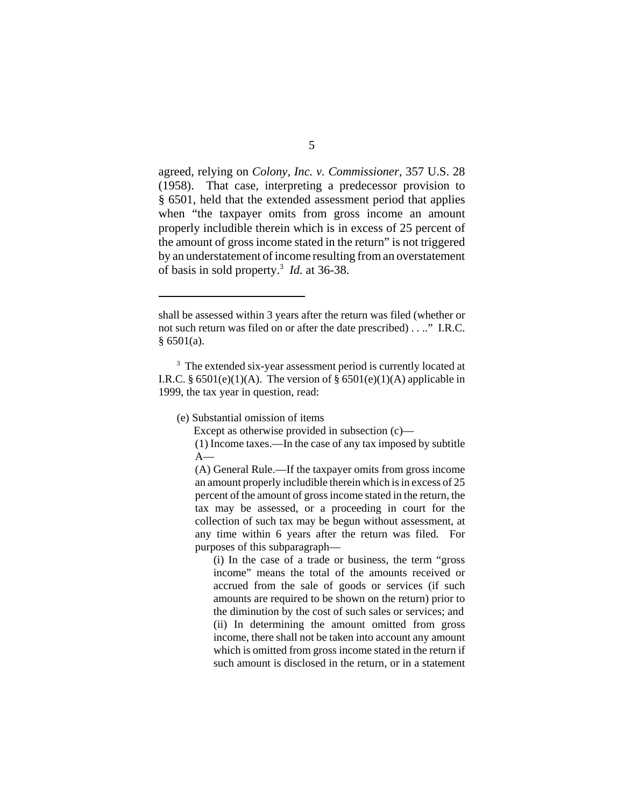agreed, relying on *Colony, Inc. v. Commissioner*, 357 U.S. 28 (1958). That case, interpreting a predecessor provision to § 6501, held that the extended assessment period that applies when "the taxpayer omits from gross income an amount properly includible therein which is in excess of 25 percent of the amount of gross income stated in the return" is not triggered by an understatement of income resulting from an overstatement of basis in sold property.3 *Id.* at 36-38.

(e) Substantial omission of items

Except as otherwise provided in subsection (c)—

(1) Income taxes.—In the case of any tax imposed by subtitle  $A-$ 

(A) General Rule.—If the taxpayer omits from gross income an amount properly includible therein which is in excess of 25 percent of the amount of gross income stated in the return, the tax may be assessed, or a proceeding in court for the collection of such tax may be begun without assessment, at any time within 6 years after the return was filed. For purposes of this subparagraph—

(i) In the case of a trade or business, the term "gross income" means the total of the amounts received or accrued from the sale of goods or services (if such amounts are required to be shown on the return) prior to the diminution by the cost of such sales or services; and (ii) In determining the amount omitted from gross income, there shall not be taken into account any amount which is omitted from gross income stated in the return if such amount is disclosed in the return, or in a statement

shall be assessed within 3 years after the return was filed (whether or not such return was filed on or after the date prescribed) . . .." I.R.C.  $§ 6501(a).$ 

<sup>&</sup>lt;sup>3</sup> The extended six-year assessment period is currently located at I.R.C. §  $6501(e)(1)(A)$ . The version of §  $6501(e)(1)(A)$  applicable in 1999, the tax year in question, read: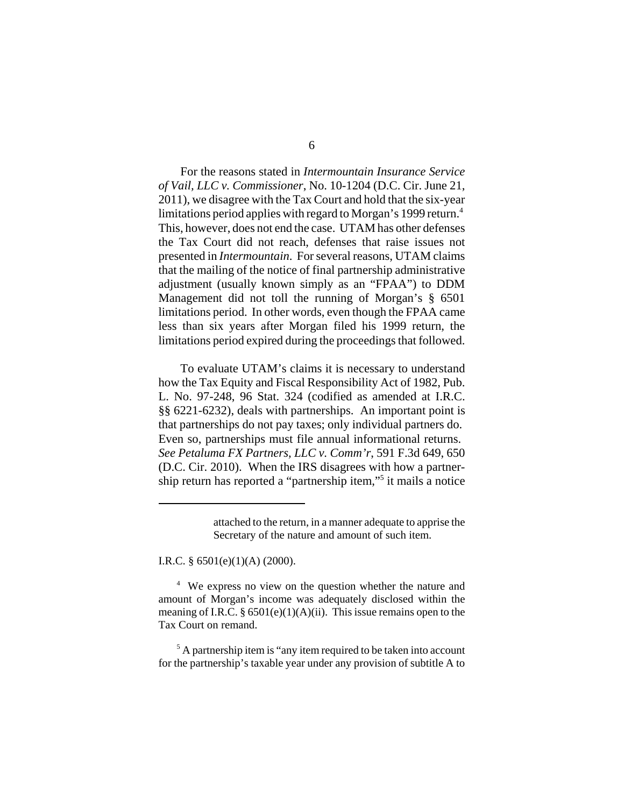For the reasons stated in *Intermountain Insurance Service of Vail, LLC v. Commissioner*, No. 10-1204 (D.C. Cir. June 21, 2011), we disagree with the Tax Court and hold that the six-year limitations period applies with regard to Morgan's 1999 return.<sup>4</sup> This, however, does not end the case. UTAM has other defenses the Tax Court did not reach, defenses that raise issues not presented in *Intermountain*. For several reasons, UTAM claims that the mailing of the notice of final partnership administrative adjustment (usually known simply as an "FPAA") to DDM Management did not toll the running of Morgan's § 6501 limitations period. In other words, even though the FPAA came less than six years after Morgan filed his 1999 return, the limitations period expired during the proceedings that followed.

To evaluate UTAM's claims it is necessary to understand how the Tax Equity and Fiscal Responsibility Act of 1982, Pub. L. No. 97-248, 96 Stat. 324 (codified as amended at I.R.C. §§ 6221-6232), deals with partnerships. An important point is that partnerships do not pay taxes; only individual partners do. Even so, partnerships must file annual informational returns. *See Petaluma FX Partners, LLC v. Comm'r*, 591 F.3d 649, 650 (D.C. Cir. 2010). When the IRS disagrees with how a partnership return has reported a "partnership item,"5 it mails a notice

I.R.C. § 6501(e)(1)(A) (2000).

<sup>4</sup> We express no view on the question whether the nature and amount of Morgan's income was adequately disclosed within the meaning of I.R.C.  $\S 6501(e)(1)(A)(ii)$ . This issue remains open to the Tax Court on remand.

<sup>5</sup> A partnership item is "any item required to be taken into account for the partnership's taxable year under any provision of subtitle A to

attached to the return, in a manner adequate to apprise the Secretary of the nature and amount of such item.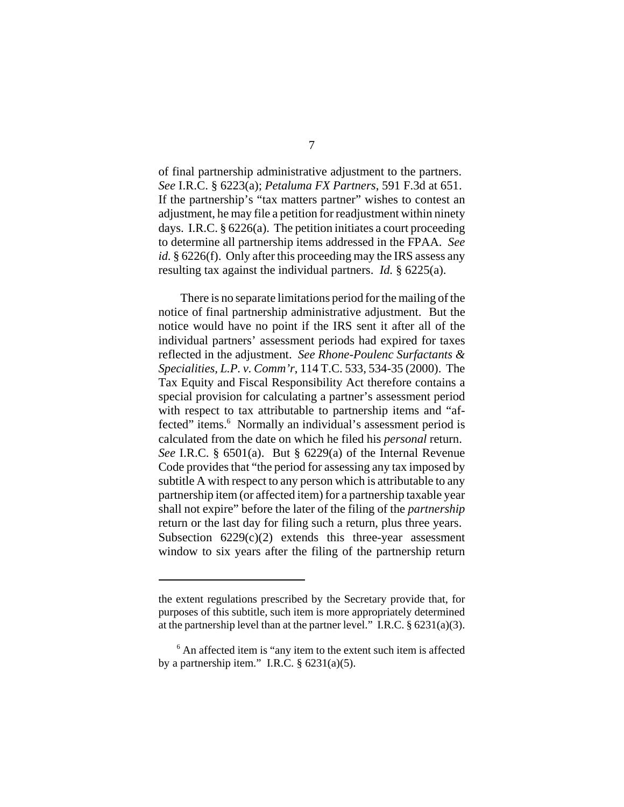of final partnership administrative adjustment to the partners. *See* I.R.C. § 6223(a); *Petaluma FX Partners*, 591 F.3d at 651. If the partnership's "tax matters partner" wishes to contest an adjustment, he may file a petition for readjustment within ninety days. I.R.C. § 6226(a). The petition initiates a court proceeding to determine all partnership items addressed in the FPAA. *See id.* § 6226(f). Only after this proceeding may the IRS assess any resulting tax against the individual partners. *Id.* § 6225(a).

There is no separate limitations period for the mailing of the notice of final partnership administrative adjustment. But the notice would have no point if the IRS sent it after all of the individual partners' assessment periods had expired for taxes reflected in the adjustment. *See Rhone-Poulenc Surfactants & Specialities, L.P. v. Comm'r*, 114 T.C. 533, 534-35 (2000). The Tax Equity and Fiscal Responsibility Act therefore contains a special provision for calculating a partner's assessment period with respect to tax attributable to partnership items and "affected" items.<sup>6</sup> Normally an individual's assessment period is calculated from the date on which he filed his *personal* return. *See* I.R.C. § 6501(a). But § 6229(a) of the Internal Revenue Code provides that "the period for assessing any tax imposed by subtitle A with respect to any person which is attributable to any partnership item (or affected item) for a partnership taxable year shall not expire" before the later of the filing of the *partnership* return or the last day for filing such a return, plus three years. Subsection  $6229(c)(2)$  extends this three-year assessment window to six years after the filing of the partnership return

the extent regulations prescribed by the Secretary provide that, for purposes of this subtitle, such item is more appropriately determined at the partnership level than at the partner level." I.R.C.  $\S 6231(a)(3)$ .

<sup>&</sup>lt;sup>6</sup> An affected item is "any item to the extent such item is affected by a partnership item." I.R.C.  $\S$  6231(a)(5).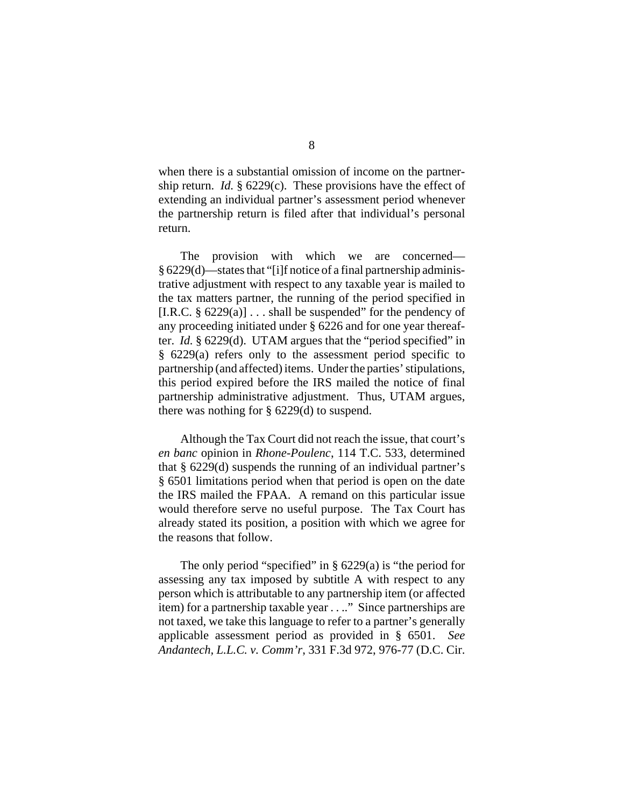when there is a substantial omission of income on the partnership return. *Id.* § 6229(c). These provisions have the effect of extending an individual partner's assessment period whenever the partnership return is filed after that individual's personal return.

The provision with which we are concerned— § 6229(d)—states that "[i]f notice of a final partnership administrative adjustment with respect to any taxable year is mailed to the tax matters partner, the running of the period specified in [I.R.C.  $\S 6229(a)$ ] ... shall be suspended" for the pendency of any proceeding initiated under § 6226 and for one year thereafter. *Id.* § 6229(d). UTAM argues that the "period specified" in § 6229(a) refers only to the assessment period specific to partnership (and affected) items. Under the parties' stipulations, this period expired before the IRS mailed the notice of final partnership administrative adjustment. Thus, UTAM argues, there was nothing for § 6229(d) to suspend.

Although the Tax Court did not reach the issue, that court's *en banc* opinion in *Rhone-Poulenc*, 114 T.C. 533, determined that § 6229(d) suspends the running of an individual partner's § 6501 limitations period when that period is open on the date the IRS mailed the FPAA. A remand on this particular issue would therefore serve no useful purpose. The Tax Court has already stated its position, a position with which we agree for the reasons that follow.

The only period "specified" in  $\S$  6229(a) is "the period for assessing any tax imposed by subtitle A with respect to any person which is attributable to any partnership item (or affected item) for a partnership taxable year . . .." Since partnerships are not taxed, we take this language to refer to a partner's generally applicable assessment period as provided in § 6501. *See Andantech, L.L.C. v. Comm'r*, 331 F.3d 972, 976-77 (D.C. Cir.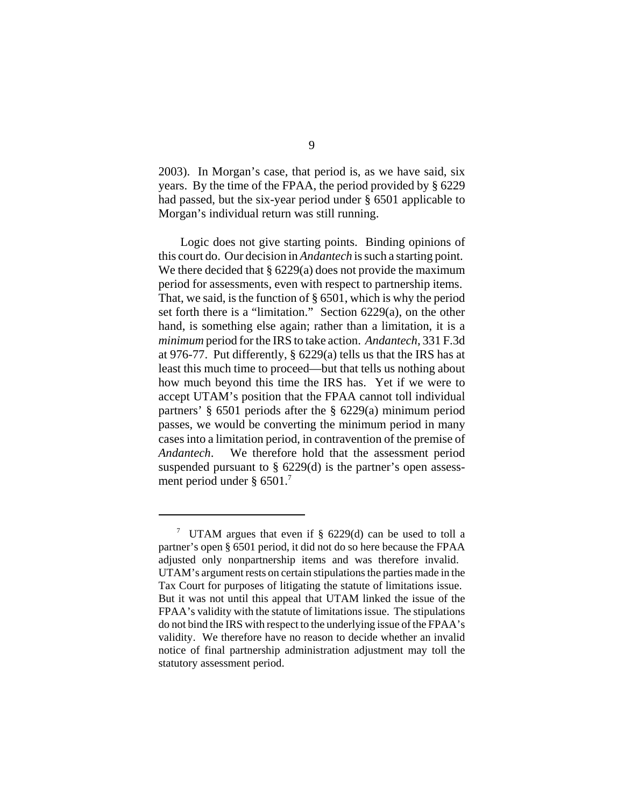2003). In Morgan's case, that period is, as we have said, six years. By the time of the FPAA, the period provided by § 6229 had passed, but the six-year period under § 6501 applicable to Morgan's individual return was still running.

Logic does not give starting points. Binding opinions of this court do. Our decision in *Andantech* is such a starting point. We there decided that  $\S 6229(a)$  does not provide the maximum period for assessments, even with respect to partnership items. That, we said, is the function of § 6501, which is why the period set forth there is a "limitation." Section 6229(a), on the other hand, is something else again; rather than a limitation, it is a *minimum* period for the IRS to take action. *Andantech*, 331 F.3d at 976-77. Put differently, § 6229(a) tells us that the IRS has at least this much time to proceed—but that tells us nothing about how much beyond this time the IRS has. Yet if we were to accept UTAM's position that the FPAA cannot toll individual partners' § 6501 periods after the § 6229(a) minimum period passes, we would be converting the minimum period in many cases into a limitation period, in contravention of the premise of *Andantech*. We therefore hold that the assessment period suspended pursuant to § 6229(d) is the partner's open assessment period under § 6501.<sup>7</sup>

<sup>&</sup>lt;sup>7</sup> UTAM argues that even if  $\S$  6229(d) can be used to toll a partner's open § 6501 period, it did not do so here because the FPAA adjusted only nonpartnership items and was therefore invalid. UTAM's argument rests on certain stipulations the parties made in the Tax Court for purposes of litigating the statute of limitations issue. But it was not until this appeal that UTAM linked the issue of the FPAA's validity with the statute of limitations issue. The stipulations do not bind the IRS with respect to the underlying issue of the FPAA's validity. We therefore have no reason to decide whether an invalid notice of final partnership administration adjustment may toll the statutory assessment period.